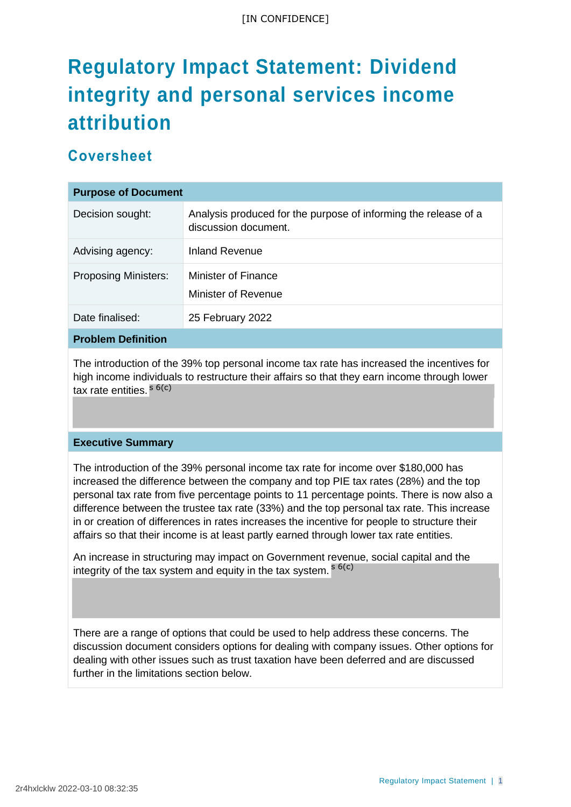# **Regulatory Impact Statement: Dividend integrity and personal services income attribution**

# **Coversheet**

| <b>Purpose of Document</b>  |                                                                                         |  |  |
|-----------------------------|-----------------------------------------------------------------------------------------|--|--|
| Decision sought:            | Analysis produced for the purpose of informing the release of a<br>discussion document. |  |  |
| Advising agency:            | Inland Revenue                                                                          |  |  |
| <b>Proposing Ministers:</b> | Minister of Finance<br>Minister of Revenue                                              |  |  |
| Date finalised:             | 25 February 2022                                                                        |  |  |
| <b>Problem Definition</b>   |                                                                                         |  |  |

The introduction of the 39% top personal income tax rate has increased the incentives for high income individuals to restructure their affairs so that they earn income through lower tax rate entities. <sup>s 6(c)</sup>

#### **Executive Summary**

The introduction of the 39% personal income tax rate for income over \$180,000 has increased the difference between the company and top PIE tax rates (28%) and the top personal tax rate from five percentage points to 11 percentage points. There is now also a difference between the trustee tax rate (33%) and the top personal tax rate. This increase in or creation of differences in rates increases the incentive for people to structure their affairs so that their income is at least partly earned through lower tax rate entities.

An increase in structuring may impact on Government revenue, social capital and the integrity of the tax system and equity in the tax system. <sup>s 6(c)</sup>

There are a range of options that could be used to help address these concerns. The discussion document considers options for dealing with company issues. Other options for dealing with other issues such as trust taxation have been deferred and are discussed further in the limitations section below.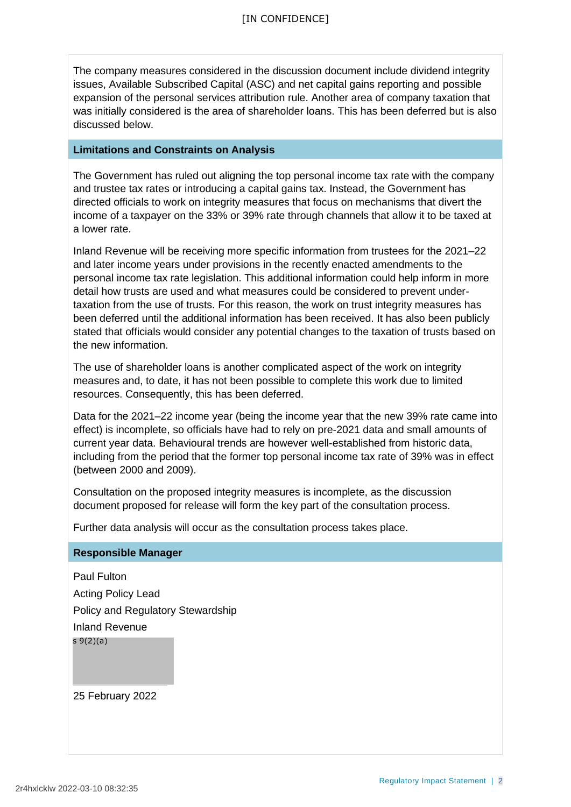The company measures considered in the discussion document include dividend integrity issues, Available Subscribed Capital (ASC) and net capital gains reporting and possible expansion of the personal services attribution rule. Another area of company taxation that was initially considered is the area of shareholder loans. This has been deferred but is also discussed below.

#### **Limitations and Constraints on Analysis**

The Government has ruled out aligning the top personal income tax rate with the company and trustee tax rates or introducing a capital gains tax. Instead, the Government has directed officials to work on integrity measures that focus on mechanisms that divert the income of a taxpayer on the 33% or 39% rate through channels that allow it to be taxed at a lower rate.

Inland Revenue will be receiving more specific information from trustees for the 2021–22 and later income years under provisions in the recently enacted amendments to the personal income tax rate legislation. This additional information could help inform in more detail how trusts are used and what measures could be considered to prevent undertaxation from the use of trusts. For this reason, the work on trust integrity measures has been deferred until the additional information has been received. It has also been publicly stated that officials would consider any potential changes to the taxation of trusts based on the new information.

The use of shareholder loans is another complicated aspect of the work on integrity measures and, to date, it has not been possible to complete this work due to limited resources. Consequently, this has been deferred.

Data for the 2021–22 income year (being the income year that the new 39% rate came into effect) is incomplete, so officials have had to rely on pre-2021 data and small amounts of current year data. Behavioural trends are however well-established from historic data, including from the period that the former top personal income tax rate of 39% was in effect (between 2000 and 2009).

Consultation on the proposed integrity measures is incomplete, as the discussion document proposed for release will form the key part of the consultation process.

Further data analysis will occur as the consultation process takes place.

#### **Responsible Manager**

Paul Fulton Acting Policy Lead Policy and Regulatory Stewardship Inland Revenue s 9(2)(a)

25 February 2022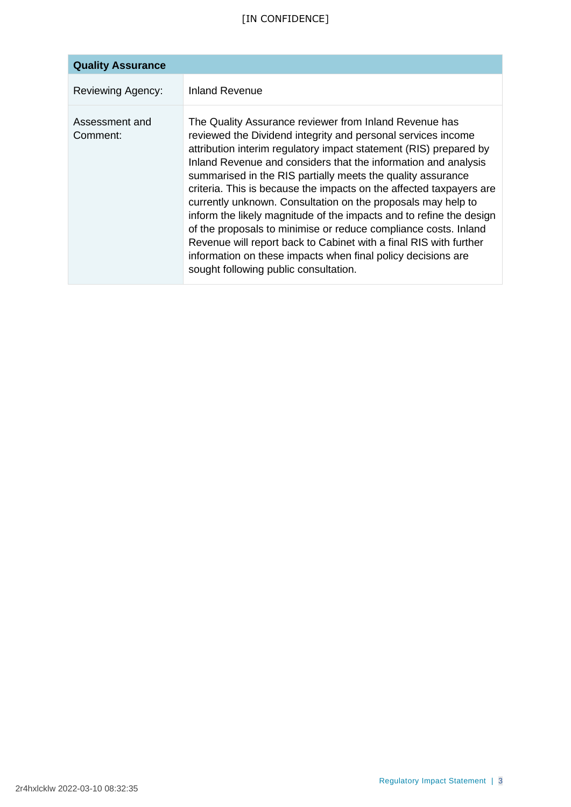# [IN CONFIDENCE]

| <b>Quality Assurance</b>   |                                                                                                                                                                                                                                                                                                                                                                                                                                                                                                                                                                                                                                                                                                                                                                                             |
|----------------------------|---------------------------------------------------------------------------------------------------------------------------------------------------------------------------------------------------------------------------------------------------------------------------------------------------------------------------------------------------------------------------------------------------------------------------------------------------------------------------------------------------------------------------------------------------------------------------------------------------------------------------------------------------------------------------------------------------------------------------------------------------------------------------------------------|
| <b>Reviewing Agency:</b>   | <b>Inland Revenue</b>                                                                                                                                                                                                                                                                                                                                                                                                                                                                                                                                                                                                                                                                                                                                                                       |
| Assessment and<br>Comment: | The Quality Assurance reviewer from Inland Revenue has<br>reviewed the Dividend integrity and personal services income<br>attribution interim regulatory impact statement (RIS) prepared by<br>Inland Revenue and considers that the information and analysis<br>summarised in the RIS partially meets the quality assurance<br>criteria. This is because the impacts on the affected taxpayers are<br>currently unknown. Consultation on the proposals may help to<br>inform the likely magnitude of the impacts and to refine the design<br>of the proposals to minimise or reduce compliance costs. Inland<br>Revenue will report back to Cabinet with a final RIS with further<br>information on these impacts when final policy decisions are<br>sought following public consultation. |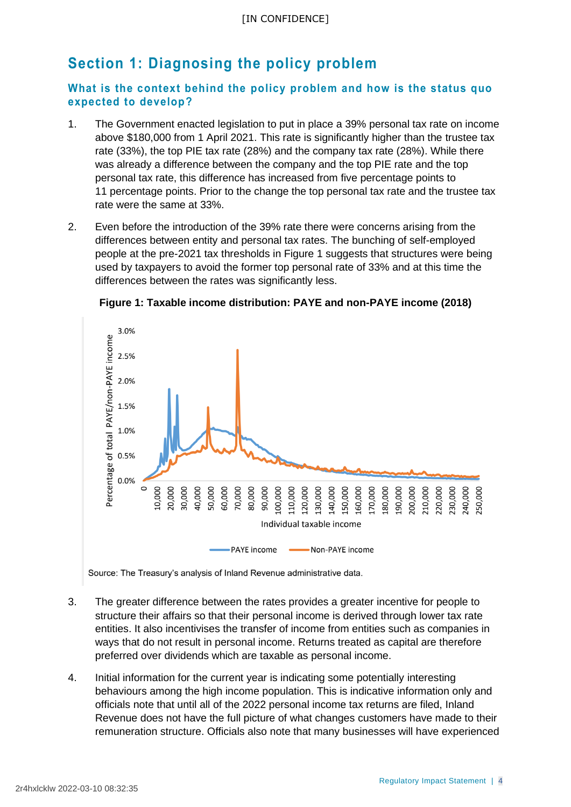# **Section 1: Diagnosing the policy problem**

### **What is the context behind the policy problem and how is the status quo expected to develop?**

- 1. The Government enacted legislation to put in place a 39% personal tax rate on income above \$180,000 from 1 April 2021. This rate is significantly higher than the trustee tax rate (33%), the top PIE tax rate (28%) and the company tax rate (28%). While there was already a difference between the company and the top PIE rate and the top personal tax rate, this difference has increased from five percentage points to 11 percentage points. Prior to the change the top personal tax rate and the trustee tax rate were the same at 33%.
- 2. Even before the introduction of the 39% rate there were concerns arising from the differences between entity and personal tax rates. The bunching of self-employed people at the pre-2021 tax thresholds in Figure 1 suggests that structures were being used by taxpayers to avoid the former top personal rate of 33% and at this time the differences between the rates was significantly less.



**Figure 1: Taxable income distribution: PAYE and non-PAYE income (2018)**

Source: The Treasury's analysis of Inland Revenue administrative data.

- 3. The greater difference between the rates provides a greater incentive for people to structure their affairs so that their personal income is derived through lower tax rate entities. It also incentivises the transfer of income from entities such as companies in ways that do not result in personal income. Returns treated as capital are therefore preferred over dividends which are taxable as personal income.
- 4. Initial information for the current year is indicating some potentially interesting behaviours among the high income population. This is indicative information only and officials note that until all of the 2022 personal income tax returns are filed, Inland Revenue does not have the full picture of what changes customers have made to their remuneration structure. Officials also note that many businesses will have experienced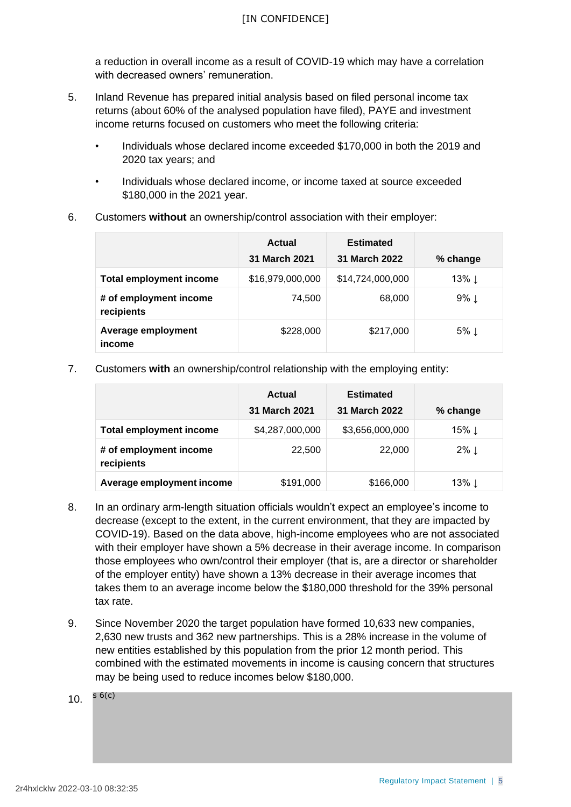a reduction in overall income as a result of COVID-19 which may have a correlation with decreased owners' remuneration.

- 5. Inland Revenue has prepared initial analysis based on filed personal income tax returns (about 60% of the analysed population have filed), PAYE and investment income returns focused on customers who meet the following criteria:
	- Individuals whose declared income exceeded \$170,000 in both the 2019 and 2020 tax years; and
	- Individuals whose declared income, or income taxed at source exceeded \$180,000 in the 2021 year.
- 6. Customers **without** an ownership/control association with their employer:

|                                      | Actual<br>31 March 2021 | <b>Estimated</b><br>31 March 2022 |                    |
|--------------------------------------|-------------------------|-----------------------------------|--------------------|
|                                      |                         |                                   | % change           |
| <b>Total employment income</b>       | \$16,979,000,000        | \$14,724,000,000                  | 13% $\downarrow$   |
| # of employment income<br>recipients | 74,500                  | 68,000                            | $9\%$ $\downarrow$ |
| Average employment<br>income         | \$228,000               | \$217,000                         | $5\%$ $\downarrow$ |

7. Customers **with** an ownership/control relationship with the employing entity:

|                                      | <b>Actual</b>           | <b>Estimated</b> |                  |
|--------------------------------------|-------------------------|------------------|------------------|
|                                      | <b>March 2021</b><br>31 | 31 March 2022    | % change         |
| <b>Total employment income</b>       | \$4,287,000,000         | \$3,656,000,000  | 15% ↓            |
| # of employment income<br>recipients | 22,500                  | 22,000           | $2\% \downarrow$ |
| Average employment income            | \$191,000               | \$166,000        | 13% ⊥            |

- 8. In an ordinary arm-length situation officials wouldn't expect an employee's income to decrease (except to the extent, in the current environment, that they are impacted by COVID-19). Based on the data above, high-income employees who are not associated with their employer have shown a 5% decrease in their average income. In comparison those employees who own/control their employer (that is, are a director or shareholder of the employer entity) have shown a 13% decrease in their average incomes that takes them to an average income below the \$180,000 threshold for the 39% personal tax rate.
- 9. Since November 2020 the target population have formed 10,633 new companies, 2,630 new trusts and 362 new partnerships. This is a 28% increase in the volume of new entities established by this population from the prior 12 month period. This combined with the estimated movements in income is causing concern that structures may be being used to reduce incomes below \$180,000.

10. s 6(c)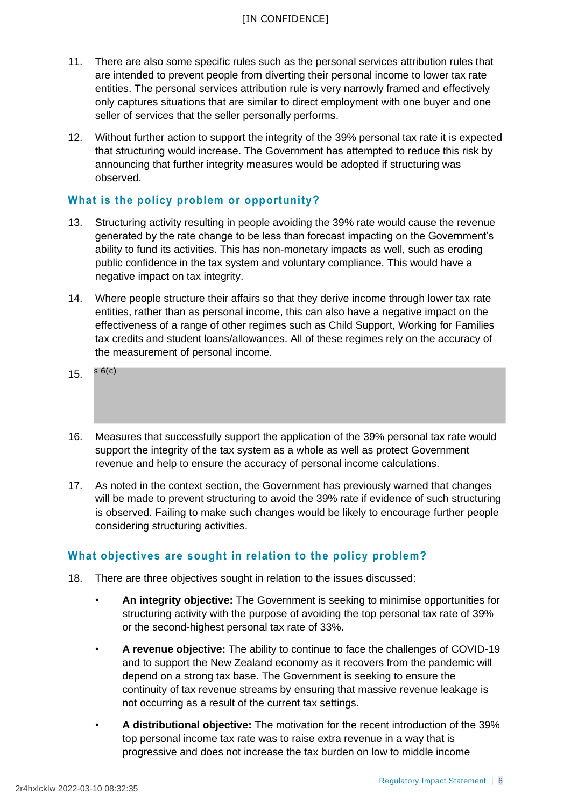- 11. There are also some specific rules such as the personal services attribution rules that are intended to prevent people from diverting their personal income to lower tax rate entities. The personal services attribution rule is very narrowly framed and effectively only captures situations that are similar to direct employment with one buyer and one seller of services that the seller personally performs.
- 12. Without further action to support the integrity of the 39% personal tax rate it is expected that structuring would increase. The Government has attempted to reduce this risk by announcing that further integrity measures would be adopted if structuring was observed.

### **What is the policy problem or opportunity?**

- 13. Structuring activity resulting in people avoiding the 39% rate would cause the revenue generated by the rate change to be less than forecast impacting on the Government's ability to fund its activities. This has non-monetary impacts as well, such as eroding public confidence in the tax system and voluntary compliance. This would have a negative impact on tax integrity.
- 14. Where people structure their affairs so that they derive income through lower tax rate entities, rather than as personal income, this can also have a negative impact on the effectiveness of a range of other regimes such as Child Support, Working for Families tax credits and student loans/allowances. All of these regimes rely on the accuracy of the measurement of personal income.
- 15. s 6(c)
- 16. Measures that successfully support the application of the 39% personal tax rate would support the integrity of the tax system as a whole as well as protect Government revenue and help to ensure the accuracy of personal income calculations.
- 17. As noted in the context section, the Government has previously warned that changes will be made to prevent structuring to avoid the 39% rate if evidence of such structuring is observed. Failing to make such changes would be likely to encourage further people considering structuring activities.

# **What objectives are sought in relation to the policy problem?**

- 18. There are three objectives sought in relation to the issues discussed:
	- **An integrity objective:** The Government is seeking to minimise opportunities for structuring activity with the purpose of avoiding the top personal tax rate of 39% or the second-highest personal tax rate of 33%.
	- **A revenue objective:** The ability to continue to face the challenges of COVID-19 and to support the New Zealand economy as it recovers from the pandemic will depend on a strong tax base. The Government is seeking to ensure the continuity of tax revenue streams by ensuring that massive revenue leakage is not occurring as a result of the current tax settings.
	- **A distributional objective:** The motivation for the recent introduction of the 39% top personal income tax rate was to raise extra revenue in a way that is progressive and does not increase the tax burden on low to middle income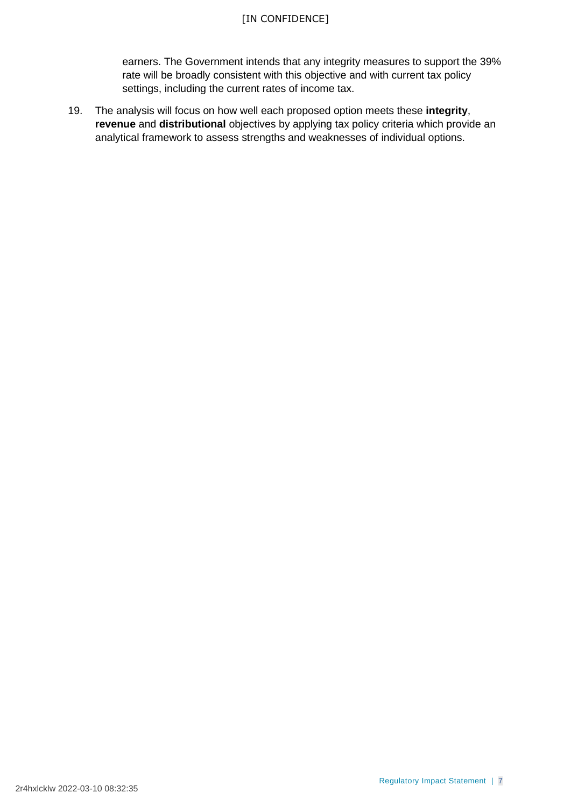### [IN CONFIDENCE]

earners. The Government intends that any integrity measures to support the 39% rate will be broadly consistent with this objective and with current tax policy settings, including the current rates of income tax.

19. The analysis will focus on how well each proposed option meets these **integrity**, **revenue** and **distributional** objectives by applying tax policy criteria which provide an analytical framework to assess strengths and weaknesses of individual options.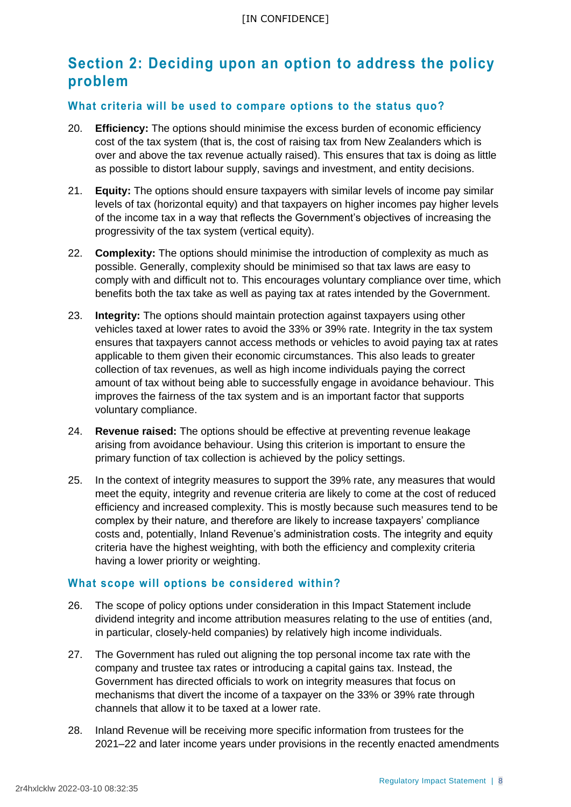# **Section 2: Deciding upon an option to address the policy problem**

#### **What criteria will be used to compare options to the status quo?**

- 20. **Efficiency:** The options should minimise the excess burden of economic efficiency cost of the tax system (that is, the cost of raising tax from New Zealanders which is over and above the tax revenue actually raised). This ensures that tax is doing as little as possible to distort labour supply, savings and investment, and entity decisions.
- 21. **Equity:** The options should ensure taxpayers with similar levels of income pay similar levels of tax (horizontal equity) and that taxpayers on higher incomes pay higher levels of the income tax in a way that reflects the Government's objectives of increasing the progressivity of the tax system (vertical equity).
- 22. **Complexity:** The options should minimise the introduction of complexity as much as possible. Generally, complexity should be minimised so that tax laws are easy to comply with and difficult not to. This encourages voluntary compliance over time, which benefits both the tax take as well as paying tax at rates intended by the Government.
- 23. **Integrity:** The options should maintain protection against taxpayers using other vehicles taxed at lower rates to avoid the 33% or 39% rate. Integrity in the tax system ensures that taxpayers cannot access methods or vehicles to avoid paying tax at rates applicable to them given their economic circumstances. This also leads to greater collection of tax revenues, as well as high income individuals paying the correct amount of tax without being able to successfully engage in avoidance behaviour. This improves the fairness of the tax system and is an important factor that supports voluntary compliance.
- 24. **Revenue raised:** The options should be effective at preventing revenue leakage arising from avoidance behaviour. Using this criterion is important to ensure the primary function of tax collection is achieved by the policy settings.
- 25. In the context of integrity measures to support the 39% rate, any measures that would meet the equity, integrity and revenue criteria are likely to come at the cost of reduced efficiency and increased complexity. This is mostly because such measures tend to be complex by their nature, and therefore are likely to increase taxpayers' compliance costs and, potentially, Inland Revenue's administration costs. The integrity and equity criteria have the highest weighting, with both the efficiency and complexity criteria having a lower priority or weighting.

#### **What scope will options be considered within?**

- 26. The scope of policy options under consideration in this Impact Statement include dividend integrity and income attribution measures relating to the use of entities (and, in particular, closely-held companies) by relatively high income individuals.
- 27. The Government has ruled out aligning the top personal income tax rate with the company and trustee tax rates or introducing a capital gains tax. Instead, the Government has directed officials to work on integrity measures that focus on mechanisms that divert the income of a taxpayer on the 33% or 39% rate through channels that allow it to be taxed at a lower rate.
- 28. Inland Revenue will be receiving more specific information from trustees for the 2021–22 and later income years under provisions in the recently enacted amendments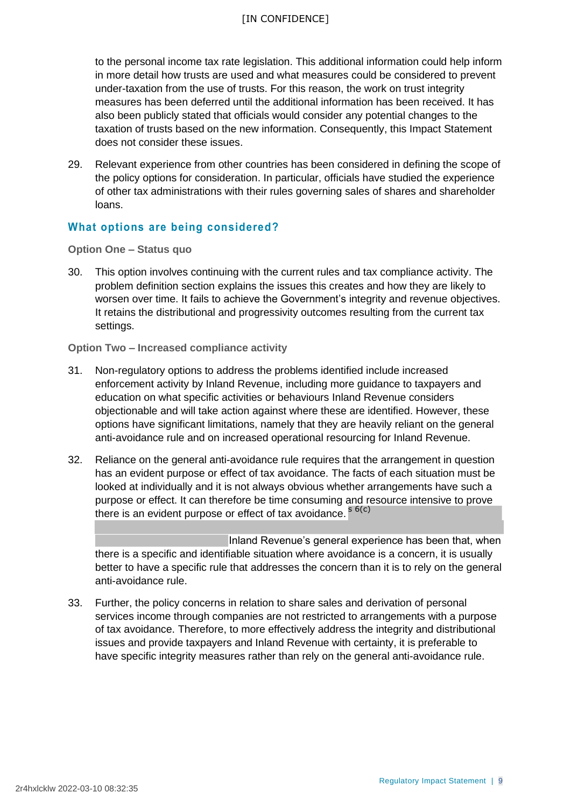to the personal income tax rate legislation. This additional information could help inform in more detail how trusts are used and what measures could be considered to prevent under-taxation from the use of trusts. For this reason, the work on trust integrity measures has been deferred until the additional information has been received. It has also been publicly stated that officials would consider any potential changes to the taxation of trusts based on the new information. Consequently, this Impact Statement does not consider these issues.

29. Relevant experience from other countries has been considered in defining the scope of the policy options for consideration. In particular, officials have studied the experience of other tax administrations with their rules governing sales of shares and shareholder loans.

# **What options are being considered?**

**Option One – Status quo**

30. This option involves continuing with the current rules and tax compliance activity. The problem definition section explains the issues this creates and how they are likely to worsen over time. It fails to achieve the Government's integrity and revenue objectives. It retains the distributional and progressivity outcomes resulting from the current tax settings.

**Option Two – Increased compliance activity**

- 31. Non-regulatory options to address the problems identified include increased enforcement activity by Inland Revenue, including more guidance to taxpayers and education on what specific activities or behaviours Inland Revenue considers objectionable and will take action against where these are identified. However, these options have significant limitations, namely that they are heavily reliant on the general anti-avoidance rule and on increased operational resourcing for Inland Revenue.
- 32. Reliance on the general anti-avoidance rule requires that the arrangement in question has an evident purpose or effect of tax avoidance. The facts of each situation must be looked at individually and it is not always obvious whether arrangements have such a purpose or effect. It can therefore be time consuming and resource intensive to prove there is an evident purpose or effect of tax avoidance. <sup>s 6(c)</sup>

Inland Revenue's general experience has been that, when there is a specific and identifiable situation where avoidance is a concern, it is usually better to have a specific rule that addresses the concern than it is to rely on the general anti-avoidance rule.

33. Further, the policy concerns in relation to share sales and derivation of personal services income through companies are not restricted to arrangements with a purpose of tax avoidance. Therefore, to more effectively address the integrity and distributional issues and provide taxpayers and Inland Revenue with certainty, it is preferable to have specific integrity measures rather than rely on the general anti-avoidance rule.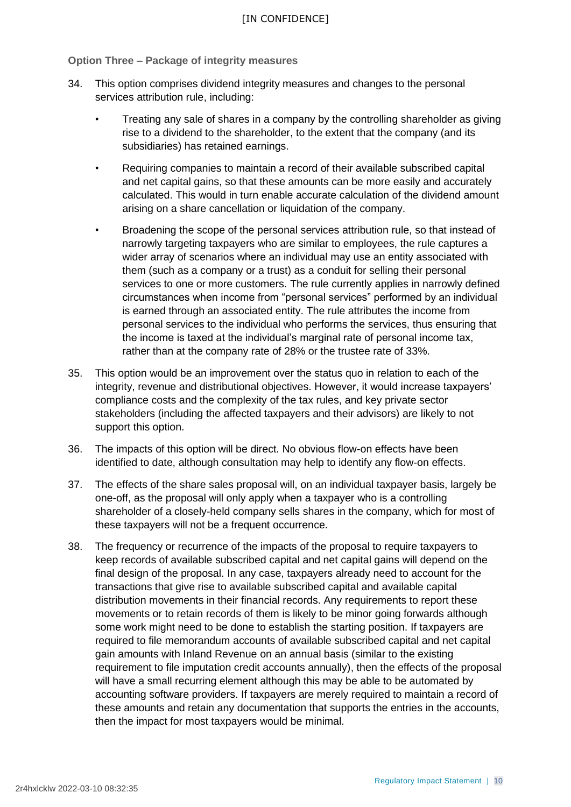**Option Three – Package of integrity measures**

- 34. This option comprises dividend integrity measures and changes to the personal services attribution rule, including:
	- Treating any sale of shares in a company by the controlling shareholder as giving rise to a dividend to the shareholder, to the extent that the company (and its subsidiaries) has retained earnings.
	- Requiring companies to maintain a record of their available subscribed capital and net capital gains, so that these amounts can be more easily and accurately calculated. This would in turn enable accurate calculation of the dividend amount arising on a share cancellation or liquidation of the company.
	- Broadening the scope of the personal services attribution rule, so that instead of narrowly targeting taxpayers who are similar to employees, the rule captures a wider array of scenarios where an individual may use an entity associated with them (such as a company or a trust) as a conduit for selling their personal services to one or more customers. The rule currently applies in narrowly defined circumstances when income from "personal services" performed by an individual is earned through an associated entity. The rule attributes the income from personal services to the individual who performs the services, thus ensuring that the income is taxed at the individual's marginal rate of personal income tax, rather than at the company rate of 28% or the trustee rate of 33%.
- 35. This option would be an improvement over the status quo in relation to each of the integrity, revenue and distributional objectives. However, it would increase taxpayers' compliance costs and the complexity of the tax rules, and key private sector stakeholders (including the affected taxpayers and their advisors) are likely to not support this option.
- 36. The impacts of this option will be direct. No obvious flow-on effects have been identified to date, although consultation may help to identify any flow-on effects.
- 37. The effects of the share sales proposal will, on an individual taxpayer basis, largely be one-off, as the proposal will only apply when a taxpayer who is a controlling shareholder of a closely-held company sells shares in the company, which for most of these taxpayers will not be a frequent occurrence.
- 38. The frequency or recurrence of the impacts of the proposal to require taxpayers to keep records of available subscribed capital and net capital gains will depend on the final design of the proposal. In any case, taxpayers already need to account for the transactions that give rise to available subscribed capital and available capital distribution movements in their financial records. Any requirements to report these movements or to retain records of them is likely to be minor going forwards although some work might need to be done to establish the starting position. If taxpayers are required to file memorandum accounts of available subscribed capital and net capital gain amounts with Inland Revenue on an annual basis (similar to the existing requirement to file imputation credit accounts annually), then the effects of the proposal will have a small recurring element although this may be able to be automated by accounting software providers. If taxpayers are merely required to maintain a record of these amounts and retain any documentation that supports the entries in the accounts, then the impact for most taxpayers would be minimal.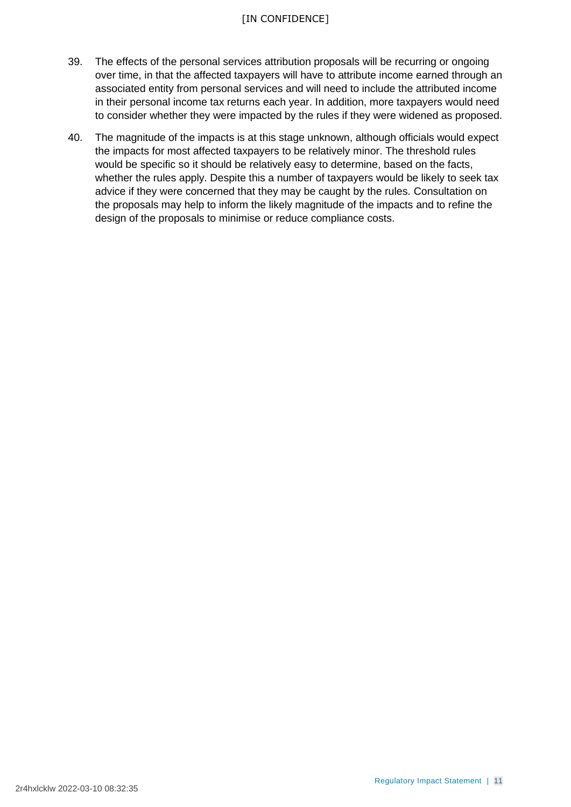### [IN CONFIDENCE]

- 39. The effects of the personal services attribution proposals will be recurring or ongoing over time, in that the affected taxpayers will have to attribute income earned through an associated entity from personal services and will need to include the attributed income in their personal income tax returns each year. In addition, more taxpayers would need to consider whether they were impacted by the rules if they were widened as proposed.
- 40. The magnitude of the impacts is at this stage unknown, although officials would expect the impacts for most affected taxpayers to be relatively minor. The threshold rules would be specific so it should be relatively easy to determine, based on the facts, whether the rules apply. Despite this a number of taxpayers would be likely to seek tax advice if they were concerned that they may be caught by the rules. Consultation on the proposals may help to inform the likely magnitude of the impacts and to refine the design of the proposals to minimise or reduce compliance costs.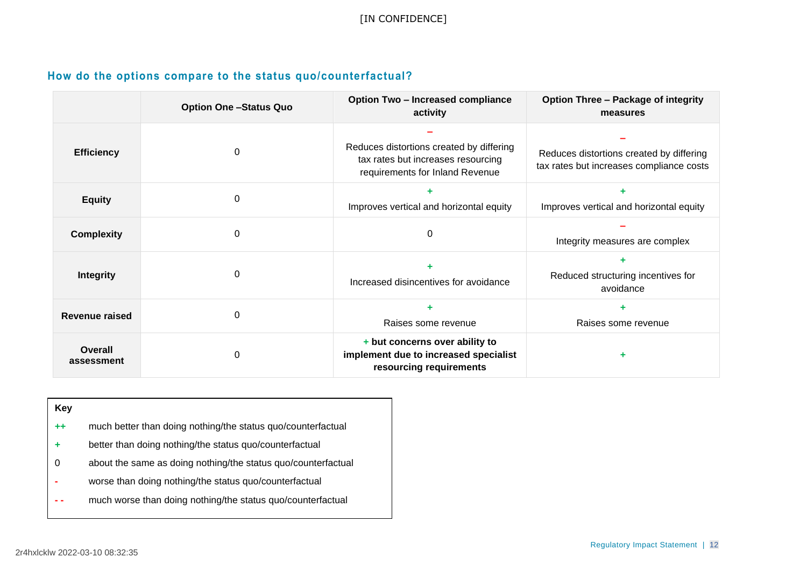# **How do the options compare to the status quo/counterfactual?**

|                       | <b>Option One -Status Quo</b> | <b>Option Two - Increased compliance</b><br>activity                                                              | <b>Option Three - Package of integrity</b><br>measures                               |
|-----------------------|-------------------------------|-------------------------------------------------------------------------------------------------------------------|--------------------------------------------------------------------------------------|
| <b>Efficiency</b>     | $\Omega$                      | Reduces distortions created by differing<br>tax rates but increases resourcing<br>requirements for Inland Revenue | Reduces distortions created by differing<br>tax rates but increases compliance costs |
| <b>Equity</b>         | 0                             | Improves vertical and horizontal equity                                                                           | Improves vertical and horizontal equity                                              |
| <b>Complexity</b>     | 0                             | 0                                                                                                                 | Integrity measures are complex                                                       |
| <b>Integrity</b>      | 0                             | Increased disincentives for avoidance                                                                             | Reduced structuring incentives for<br>avoidance                                      |
| <b>Revenue raised</b> | $\Omega$                      | Raises some revenue                                                                                               | Raises some revenue                                                                  |
| Overall<br>assessment | 0                             | + but concerns over ability to<br>implement due to increased specialist<br>resourcing requirements                |                                                                                      |

| Key     |                                                               |
|---------|---------------------------------------------------------------|
| $^{++}$ | much better than doing nothing/the status quo/counterfactual  |
| ٠       | better than doing nothing/the status quo/counterfactual       |
| 0       | about the same as doing nothing/the status quo/counterfactual |
|         | worse than doing nothing/the status quo/counterfactual        |
|         | much worse than doing nothing/the status quo/counterfactual   |
|         |                                                               |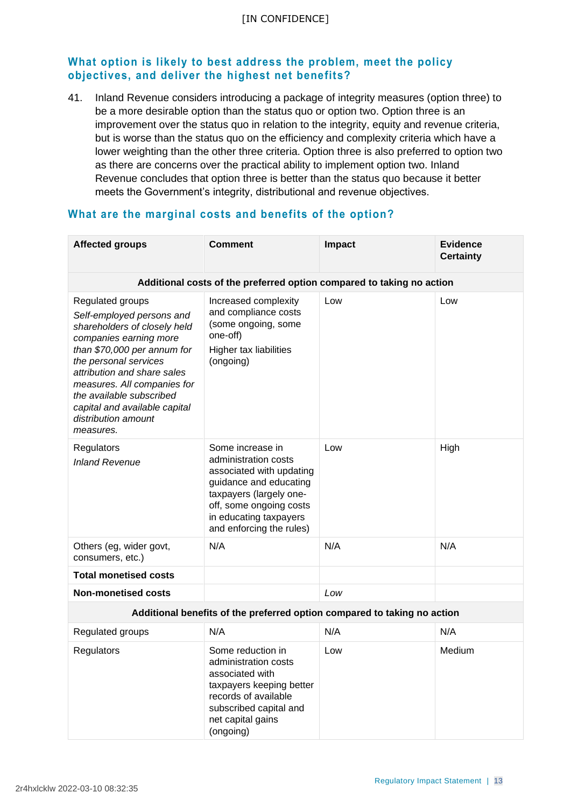# **What option is likely to best address the problem, meet the policy objectives, and deliver the highest net benefits?**

41. Inland Revenue considers introducing a package of integrity measures (option three) to be a more desirable option than the status quo or option two. Option three is an improvement over the status quo in relation to the integrity, equity and revenue criteria, but is worse than the status quo on the efficiency and complexity criteria which have a lower weighting than the other three criteria. Option three is also preferred to option two as there are concerns over the practical ability to implement option two. Inland Revenue concludes that option three is better than the status quo because it better meets the Government's integrity, distributional and revenue objectives.

| <b>Affected groups</b>                                                                                                                                                                                                                                                                                                         | <b>Comment</b>                                                                                                                                                                                             | <b>Impact</b> | <b>Evidence</b><br><b>Certainty</b> |
|--------------------------------------------------------------------------------------------------------------------------------------------------------------------------------------------------------------------------------------------------------------------------------------------------------------------------------|------------------------------------------------------------------------------------------------------------------------------------------------------------------------------------------------------------|---------------|-------------------------------------|
| Additional costs of the preferred option compared to taking no action                                                                                                                                                                                                                                                          |                                                                                                                                                                                                            |               |                                     |
| Regulated groups<br>Self-employed persons and<br>shareholders of closely held<br>companies earning more<br>than \$70,000 per annum for<br>the personal services<br>attribution and share sales<br>measures. All companies for<br>the available subscribed<br>capital and available capital<br>distribution amount<br>measures. | Increased complexity<br>and compliance costs<br>(some ongoing, some<br>one-off)<br>Higher tax liabilities<br>(ongoing)                                                                                     | Low           | Low                                 |
| Regulators<br><b>Inland Revenue</b>                                                                                                                                                                                                                                                                                            | Some increase in<br>administration costs<br>associated with updating<br>guidance and educating<br>taxpayers (largely one-<br>off, some ongoing costs<br>in educating taxpayers<br>and enforcing the rules) | Low           | High                                |
| Others (eg, wider govt,<br>consumers, etc.)                                                                                                                                                                                                                                                                                    | N/A                                                                                                                                                                                                        | N/A           | N/A                                 |
| <b>Total monetised costs</b>                                                                                                                                                                                                                                                                                                   |                                                                                                                                                                                                            |               |                                     |
| <b>Non-monetised costs</b>                                                                                                                                                                                                                                                                                                     |                                                                                                                                                                                                            | Low           |                                     |
| Additional benefits of the preferred option compared to taking no action                                                                                                                                                                                                                                                       |                                                                                                                                                                                                            |               |                                     |
| Regulated groups                                                                                                                                                                                                                                                                                                               | N/A                                                                                                                                                                                                        | N/A           | N/A                                 |
| Regulators                                                                                                                                                                                                                                                                                                                     | Some reduction in<br>administration costs<br>associated with<br>taxpayers keeping better<br>records of available<br>subscribed capital and<br>net capital gains                                            | Low           | Medium                              |

# **What are the marginal costs and benefits of the option?**

(ongoing)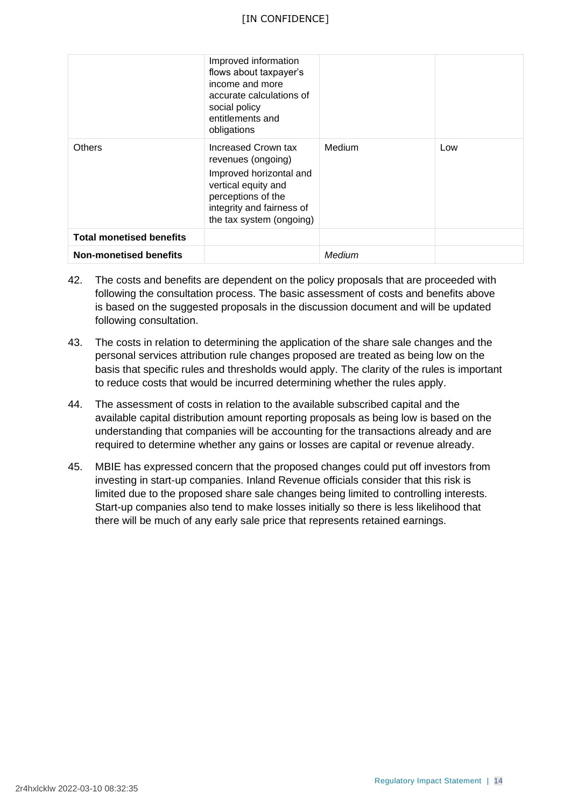|                                 | Improved information<br>flows about taxpayer's<br>income and more<br>accurate calculations of<br>social policy<br>entitlements and<br>obligations                          |        |     |
|---------------------------------|----------------------------------------------------------------------------------------------------------------------------------------------------------------------------|--------|-----|
| <b>Others</b>                   | Increased Crown tax<br>revenues (ongoing)<br>Improved horizontal and<br>vertical equity and<br>perceptions of the<br>integrity and fairness of<br>the tax system (ongoing) | Medium | Low |
| <b>Total monetised benefits</b> |                                                                                                                                                                            |        |     |
| <b>Non-monetised benefits</b>   |                                                                                                                                                                            | Medium |     |

- 42. The costs and benefits are dependent on the policy proposals that are proceeded with following the consultation process. The basic assessment of costs and benefits above is based on the suggested proposals in the discussion document and will be updated following consultation.
- 43. The costs in relation to determining the application of the share sale changes and the personal services attribution rule changes proposed are treated as being low on the basis that specific rules and thresholds would apply. The clarity of the rules is important to reduce costs that would be incurred determining whether the rules apply.
- 44. The assessment of costs in relation to the available subscribed capital and the available capital distribution amount reporting proposals as being low is based on the understanding that companies will be accounting for the transactions already and are required to determine whether any gains or losses are capital or revenue already.
- 45. MBIE has expressed concern that the proposed changes could put off investors from investing in start-up companies. Inland Revenue officials consider that this risk is limited due to the proposed share sale changes being limited to controlling interests. Start-up companies also tend to make losses initially so there is less likelihood that there will be much of any early sale price that represents retained earnings.